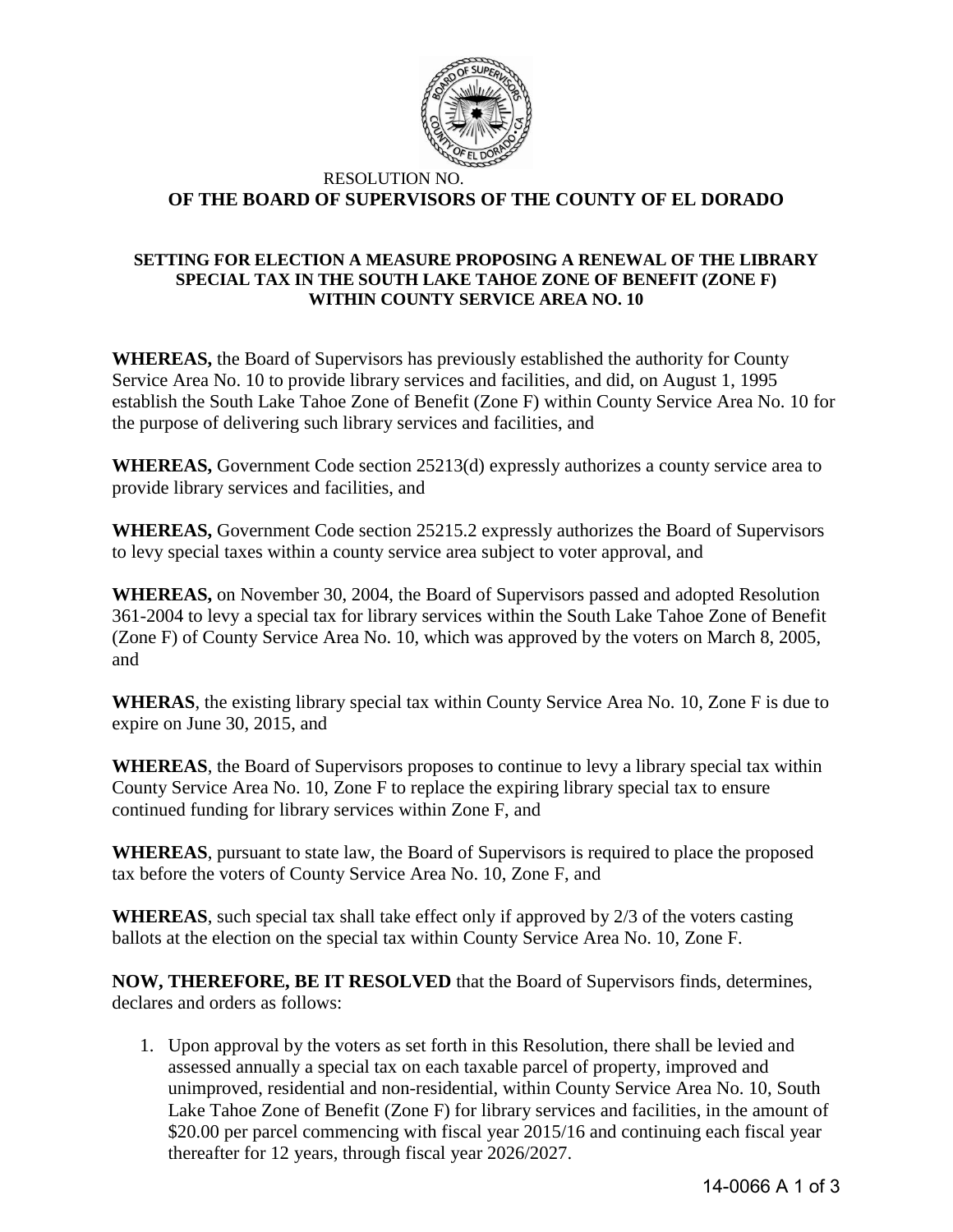

## RESOLUTION NO. **OF THE BOARD OF SUPERVISORS OF THE COUNTY OF EL DORADO**

## **SETTING FOR ELECTION A MEASURE PROPOSING A RENEWAL OF THE LIBRARY SPECIAL TAX IN THE SOUTH LAKE TAHOE ZONE OF BENEFIT (ZONE F) WITHIN COUNTY SERVICE AREA NO. 10**

**WHEREAS,** the Board of Supervisors has previously established the authority for County Service Area No. 10 to provide library services and facilities, and did, on August 1, 1995 establish the South Lake Tahoe Zone of Benefit (Zone F) within County Service Area No. 10 for the purpose of delivering such library services and facilities, and

**WHEREAS,** Government Code section 25213(d) expressly authorizes a county service area to provide library services and facilities, and

**WHEREAS,** Government Code section 25215.2 expressly authorizes the Board of Supervisors to levy special taxes within a county service area subject to voter approval, and

**WHEREAS,** on November 30, 2004, the Board of Supervisors passed and adopted Resolution 361-2004 to levy a special tax for library services within the South Lake Tahoe Zone of Benefit (Zone F) of County Service Area No. 10, which was approved by the voters on March 8, 2005, and

**WHERAS**, the existing library special tax within County Service Area No. 10, Zone F is due to expire on June 30, 2015, and

**WHEREAS**, the Board of Supervisors proposes to continue to levy a library special tax within County Service Area No. 10, Zone F to replace the expiring library special tax to ensure continued funding for library services within Zone F, and

**WHEREAS**, pursuant to state law, the Board of Supervisors is required to place the proposed tax before the voters of County Service Area No. 10, Zone F, and

**WHEREAS**, such special tax shall take effect only if approved by 2/3 of the voters casting ballots at the election on the special tax within County Service Area No. 10, Zone F.

**NOW, THEREFORE, BE IT RESOLVED** that the Board of Supervisors finds, determines, declares and orders as follows:

1. Upon approval by the voters as set forth in this Resolution, there shall be levied and assessed annually a special tax on each taxable parcel of property, improved and unimproved, residential and non-residential, within County Service Area No. 10, South Lake Tahoe Zone of Benefit (Zone F) for library services and facilities, in the amount of \$20.00 per parcel commencing with fiscal year 2015/16 and continuing each fiscal year thereafter for 12 years, through fiscal year 2026/2027.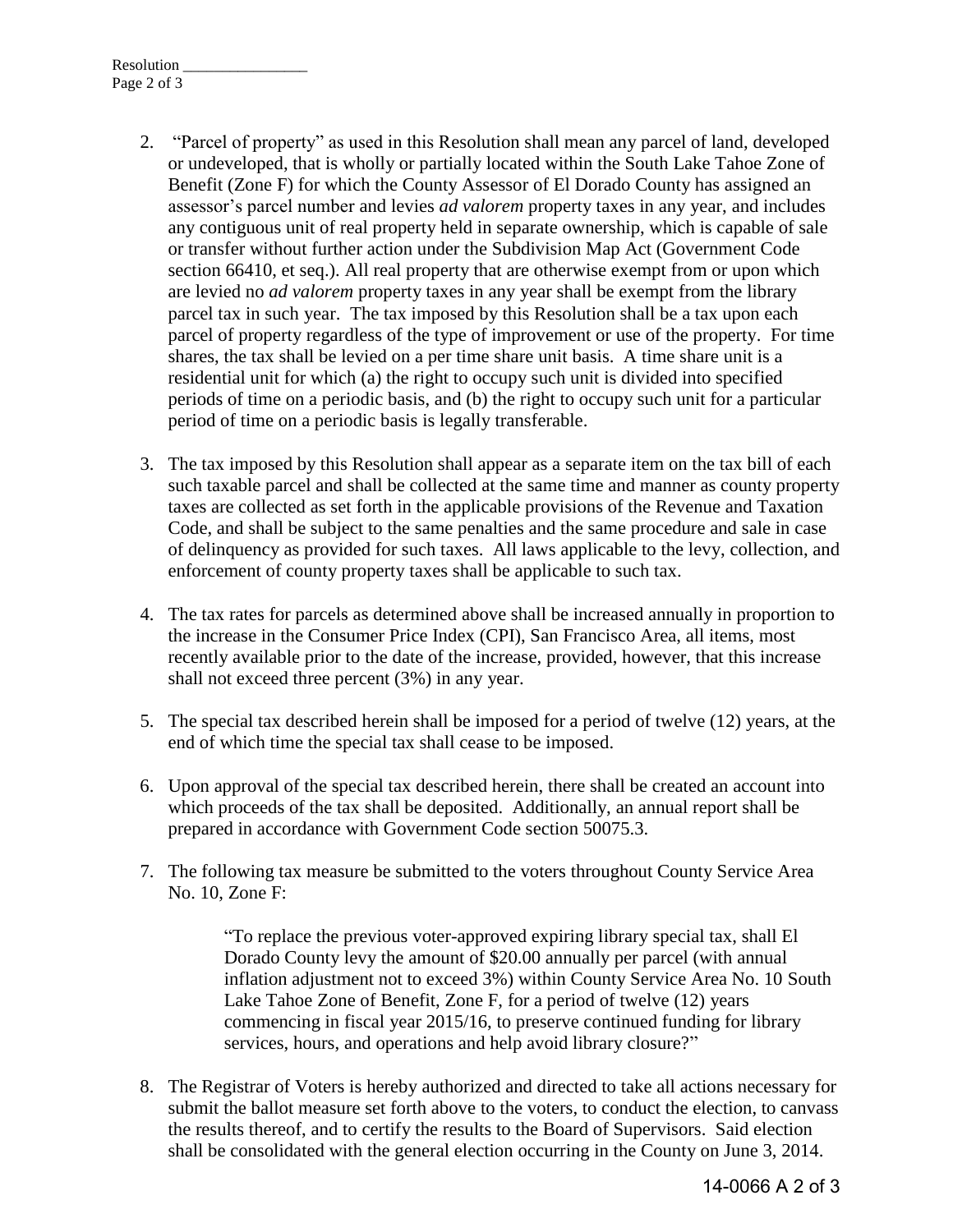- 2. "Parcel of property" as used in this Resolution shall mean any parcel of land, developed or undeveloped, that is wholly or partially located within the South Lake Tahoe Zone of Benefit (Zone F) for which the County Assessor of El Dorado County has assigned an assessor's parcel number and levies *ad valorem* property taxes in any year, and includes any contiguous unit of real property held in separate ownership, which is capable of sale or transfer without further action under the Subdivision Map Act (Government Code section 66410, et seq.). All real property that are otherwise exempt from or upon which are levied no *ad valorem* property taxes in any year shall be exempt from the library parcel tax in such year. The tax imposed by this Resolution shall be a tax upon each parcel of property regardless of the type of improvement or use of the property. For time shares, the tax shall be levied on a per time share unit basis. A time share unit is a residential unit for which (a) the right to occupy such unit is divided into specified periods of time on a periodic basis, and (b) the right to occupy such unit for a particular period of time on a periodic basis is legally transferable.
- 3. The tax imposed by this Resolution shall appear as a separate item on the tax bill of each such taxable parcel and shall be collected at the same time and manner as county property taxes are collected as set forth in the applicable provisions of the Revenue and Taxation Code, and shall be subject to the same penalties and the same procedure and sale in case of delinquency as provided for such taxes. All laws applicable to the levy, collection, and enforcement of county property taxes shall be applicable to such tax.
- 4. The tax rates for parcels as determined above shall be increased annually in proportion to the increase in the Consumer Price Index (CPI), San Francisco Area, all items, most recently available prior to the date of the increase, provided, however, that this increase shall not exceed three percent (3%) in any year.
- 5. The special tax described herein shall be imposed for a period of twelve (12) years, at the end of which time the special tax shall cease to be imposed.
- 6. Upon approval of the special tax described herein, there shall be created an account into which proceeds of the tax shall be deposited. Additionally, an annual report shall be prepared in accordance with Government Code section 50075.3.
- 7. The following tax measure be submitted to the voters throughout County Service Area No. 10, Zone F:

"To replace the previous voter-approved expiring library special tax, shall El Dorado County levy the amount of \$20.00 annually per parcel (with annual inflation adjustment not to exceed 3%) within County Service Area No. 10 South Lake Tahoe Zone of Benefit, Zone F, for a period of twelve (12) years commencing in fiscal year 2015/16, to preserve continued funding for library services, hours, and operations and help avoid library closure?"

8. The Registrar of Voters is hereby authorized and directed to take all actions necessary for submit the ballot measure set forth above to the voters, to conduct the election, to canvass the results thereof, and to certify the results to the Board of Supervisors. Said election shall be consolidated with the general election occurring in the County on June 3, 2014.